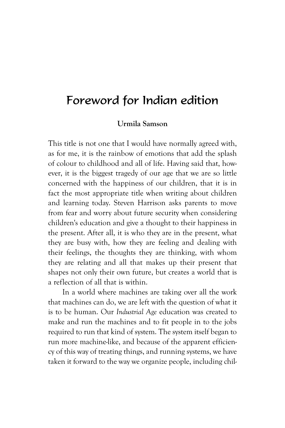## Foreword for Indian edition

## **Urmila Samson**

This title is not one that I would have normally agreed with, as for me, it is the rainbow of emotions that add the splash of colour to childhood and all of life. Having said that, however, it is the biggest tragedy of our age that we are so little concerned with the happiness of our children, that it is in fact the most appropriate title when writing about children and learning today. Steven Harrison asks parents to move from fear and worry about future security when considering children's education and give a thought to their happiness in the present. After all, it is who they are in the present, what they are busy with, how they are feeling and dealing with their feelings, the thoughts they are thinking, with whom they are relating and all that makes up their present that shapes not only their own future, but creates a world that is a reflection of all that is within.

In a world where machines are taking over all the work that machines can do, we are left with the question of what it is to be human. Our *Industrial Age* education was created to make and run the machines and to fit people in to the jobs required to run that kind of system. The system itself began to run more machine-like, and because of the apparent efficiency of this way of treating things, and running systems, we have taken it forward to the way we organize people, including chil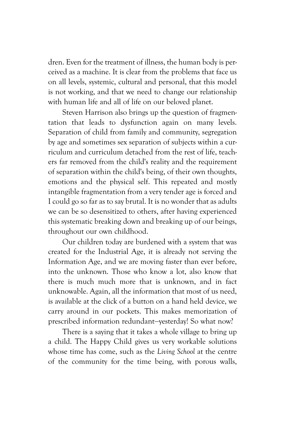dren. Even for the treatment of illness, the human body is perceived as a machine. It is clear from the problems that face us on all levels, systemic, cultural and personal, that this model is not working, and that we need to change our relationship with human life and all of life on our beloved planet.

Steven Harrison also brings up the question of fragmentation that leads to dysfunction again on many levels. Separation of child from family and community, segregation by age and sometimes sex separation of subjects within a curriculum and curriculum detached from the rest of life, teachers far removed from the child's reality and the requirement of separation within the child's being, of their own thoughts, emotions and the physical self. This repeated and mostly intangible fragmentation from a very tender age is forced and I could go so far as to say brutal. It is no wonder that as adults we can be so desensitized to others, after having experienced this systematic breaking down and breaking up of our beings, throughout our own childhood.

Our children today are burdened with a system that was created for the Industrial Age, it is already not serving the Information Age, and we are moving faster than ever before, into the unknown. Those who know a lot, also know that there is much much more that is unknown, and in fact unknowable. Again, all the information that most of us need, is available at the click of a button on a hand held device, we carry around in our pockets. This makes memorization of prescribed information redundant-yesterday! So what now?

There is a saying that it takes a whole village to bring up a child. The Happy Child gives us very workable solutions whose time has come, such as the *Living School* at the centre of the community for the time being, with porous walls,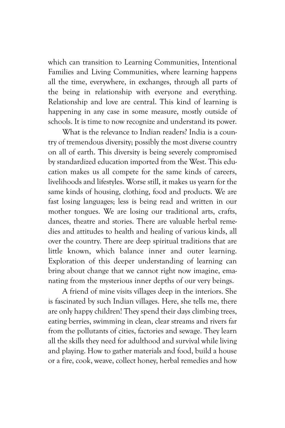which can transition to Learning Communities, Intentional Families and Living Communities, where learning happens all the time, everywhere, in exchanges, through all parts of the being in relationship with everyone and everything. Relationship and love are central. This kind of learning is happening in any case in some measure, mostly outside of schools. It is time to now recognize and understand its power.

What is the relevance to Indian readers? India is a country of tremendous diversity; possibly the most diverse country on all of earth. This diversity is being severely compromised by standardized education imported from the West. This education makes us all compete for the same kinds of careers, livelihoods and lifestyles. Worse still, it makes us yearn for the same kinds of housing, clothing, food and products. We are fast losing languages; less is being read and written in our mother tongues. We are losing our traditional arts, crafts, dances, theatre and stories. There are valuable herbal remedies and attitudes to health and healing of various kinds, all over the country. There are deep spiritual traditions that are little known, which balance inner and outer learning. Exploration of this deeper understanding of learning can bring about change that we cannot right now imagine, emanating from the mysterious inner depths of our very beings.

A friend of mine visits villages deep in the interiors. She is fascinated by such Indian villages. Here, she tells me, there are only happy children! They spend their days climbing trees, eating berries, swimming in clean, clear streams and rivers far from the pollutants of cities, factories and sewage. They learn all the skills they need for adulthood and survival while living and playing. How to gather materials and food, build a house or a fire, cook, weave, collect honey, herbal remedies and how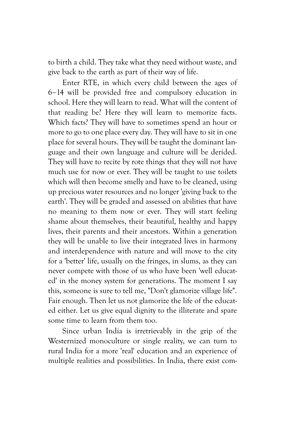to birth a child. They take what they need without waste, and give back to the earth as part of their way of life.

Enter RTE, in which every child between the ages of 6&14 will be provided free and compulsory education in school. Here they will learn to read. What will the content of that reading be? Here they will learn to memorize facts. Which facts? They will have to sometimes spend an hour or more to go to one place every day. They will have to sit in one place for several hours. They will be taught the dominant language and their own language and culture will be derided. They will have to recite by rote things that they will not have much use for now or ever. They will be taught to use toilets which will then become smelly and have to be cleaned, using up precious water resources and no longer 'giving back to the earth'. They will be graded and assessed on abilities that have no meaning to them now or ever. They will start feeling shame about themselves, their beautiful, healthy and happy lives, their parents and their ancestors. Within a generation they will be unable to live their integrated lives in harmony and interdependence with nature and will move to the city for a 'better' life, usually on the fringes, in slums, as they can never compete with those of us who have been 'well educated' in the money system for generations. The moment I say this, someone is sure to tell me, "Don't glamorize village life". Fair enough. Then let us not glamorize the life of the educated either. Let us give equal dignity to the illiterate and spare some time to learn from them too.

Since urban India is irretrievably in the grip of the Westernized monoculture or single reality, we can turn to rural India for a more 'real' education and an experience of multiple realities and possibilities. In India, there exist com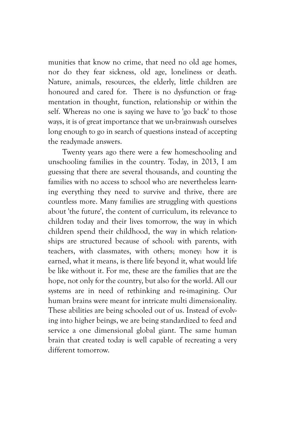munities that know no crime, that need no old age homes, nor do they fear sickness, old age, loneliness or death. Nature, animals, resources, the elderly, little children are honoured and cared for. There is no dysfunction or fragmentation in thought, function, relationship or within the self. Whereas no one is saying we have to 'go back' to those ways, it is of great importance that we un-brainwash ourselves long enough to go in search of questions instead of accepting the readymade answers.

Twenty years ago there were a few homeschooling and unschooling families in the country. Today, in 2013, I am guessing that there are several thousands, and counting the families with no access to school who are nevertheless learning everything they need to survive and thrive, there are countless more. Many families are struggling with questions about 'the future', the content of curriculum, its relevance to children today and their lives tomorrow, the way in which children spend their childhood, the way in which relationships are structured because of school: with parents, with teachers, with classmates, with others; money: how it is earned, what it means, is there life beyond it, what would life be like without it. For me, these are the families that are the hope, not only for the country, but also for the world. All our systems are in need of rethinking and re-imagining. Our human brains were meant for intricate multi dimensionality. These abilities are being schooled out of us. Instead of evolving into higher beings, we are being standardized to feed and service a one dimensional global giant. The same human brain that created today is well capable of recreating a very different tomorrow.